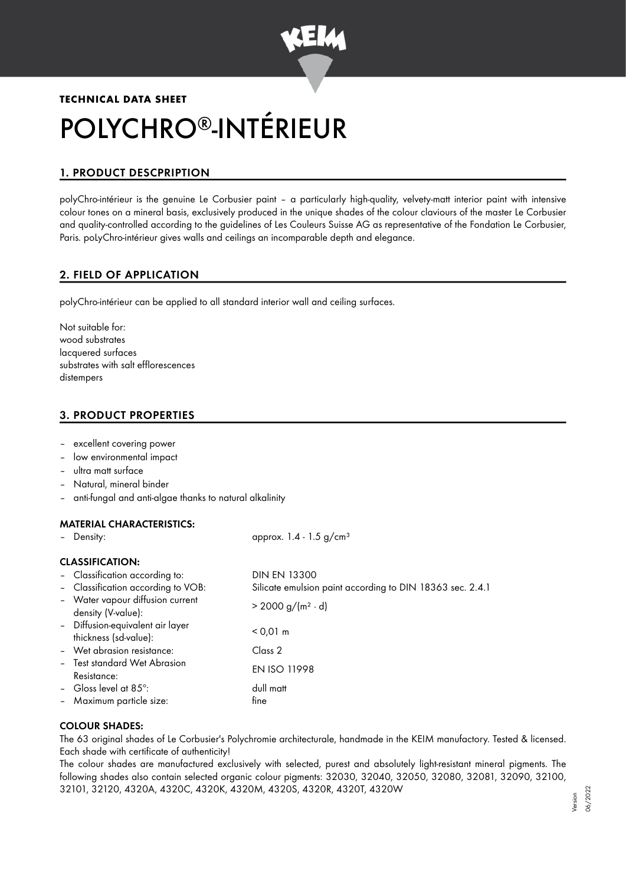

# **TECHNICAL DATA SHEET** POLYCHRO®-INTÉRIEUR

# 1. PRODUCT DESCPRIPTION

polyChro-intérieur is the genuine Le Corbusier paint – a particularly high-quality, velvety-matt interior paint with intensive colour tones on a mineral basis, exclusively produced in the unique shades of the colour claviours of the master Le Corbusier and quality-controlled according to the guidelines of Les Couleurs Suisse AG as representative of the Fondation Le Corbusier, Paris. poLyChro-intérieur gives walls and ceilings an incomparable depth and elegance.

# 2. FIELD OF APPLICATION

polyChro-intérieur can be applied to all standard interior wall and ceiling surfaces.

Not suitable for: wood substrates lacquered surfaces substrates with salt efflorescences distempers

# 3. PRODUCT PROPERTIES

- excellent covering power
- low environmental impact
- ultra matt surface
- Natural, mineral binder
- anti-fungal and anti-algae thanks to natural alkalinity

## MATERIAL CHARACTERISTICS:

| - Density:                                                | approx. $1.4 - 1.5$ g/cm <sup>3</sup>                     |  |  |  |
|-----------------------------------------------------------|-----------------------------------------------------------|--|--|--|
| <b>CLASSIFICATION:</b>                                    |                                                           |  |  |  |
| - Classification according to:                            | <b>DIN EN 13300</b>                                       |  |  |  |
| - Classification according to VOB:                        | Silicate emulsion paint according to DIN 18363 sec. 2.4.1 |  |  |  |
| - Water vapour diffusion current<br>density (V-value):    | $> 2000 g/(m^2 \cdot d)$                                  |  |  |  |
| - Diffusion-equivalent air layer<br>thickness (sd-value): | $< 0.01 \text{ m}$                                        |  |  |  |
| - Wet abrasion resistance:                                | Class 2                                                   |  |  |  |
| - Test standard Wet Abrasion<br>Resistance:               | <b>EN ISO 11998</b>                                       |  |  |  |
| - Gloss level at $85^\circ$ :                             | dull matt                                                 |  |  |  |
| - Maximum particle size:                                  | fine                                                      |  |  |  |

## COLOUR SHADES:

The 63 original shades of Le Corbusier's Polychromie architecturale, handmade in the KEIM manufactory. Tested & licensed. Each shade with certificate of authenticity!

The colour shades are manufactured exclusively with selected, purest and absolutely light-resistant mineral pigments. The following shades also contain selected organic colour pigments: 32030, 32040, 32050, 32080, 32081, 32090, 32100, 32101, 32120, 4320A, 4320C, 4320K, 4320M, 4320S, 4320R, 4320T, 4320W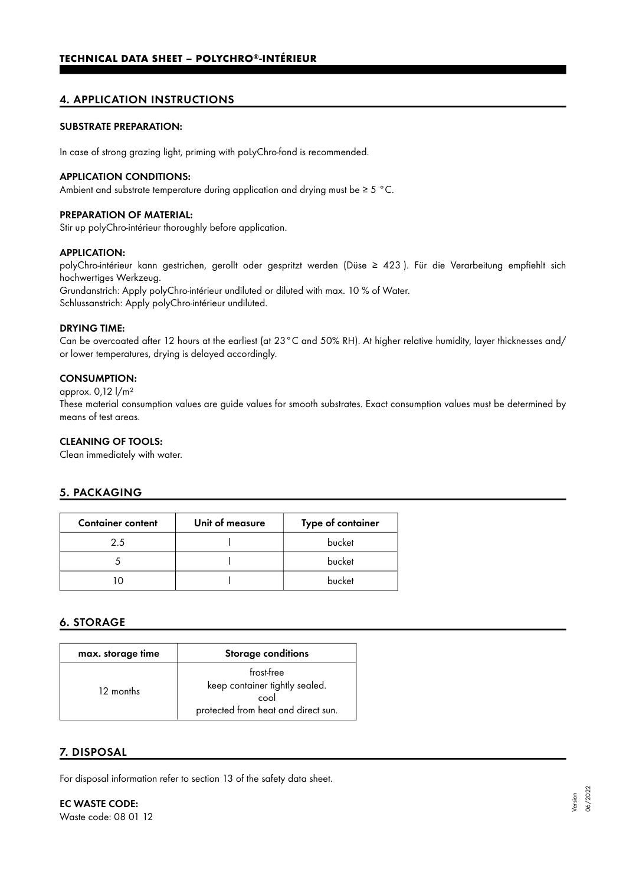## 4. APPLICATION INSTRUCTIONS

#### SUBSTRATE PREPARATION:

In case of strong grazing light, priming with poLyChro-fond is recommended.

#### APPLICATION CONDITIONS:

Ambient and substrate temperature during application and drying must be ≥ 5 °C.

#### PREPARATION OF MATERIAL:

Stir up polyChro-intérieur thoroughly before application.

#### APPLICATION:

polyChro-intérieur kann gestrichen, gerollt oder gespritzt werden (Düse ≥ 423 ). Für die Verarbeitung empfiehlt sich hochwertiges Werkzeug. Grundanstrich: Apply polyChro-intérieur undiluted or diluted with max. 10 % of Water. Schlussanstrich: Apply polyChro-intérieur undiluted.

#### DRYING TIME:

Can be overcoated after 12 hours at the earliest (at 23°C and 50% RH). At higher relative humidity, layer thicknesses and/ or lower temperatures, drying is delayed accordingly.

#### CONSUMPTION:

approx. 0,12 l/m²

These material consumption values are guide values for smooth substrates. Exact consumption values must be determined by means of test areas.

#### CLEANING OF TOOLS:

Clean immediately with water.

## 5. PACKAGING

| <b>Container content</b> | Unit of measure | Type of container |
|--------------------------|-----------------|-------------------|
| 25                       |                 | bucket            |
|                          |                 | bucket            |
|                          |                 | bucket            |

## 6. STORAGE

| max. storage time | <b>Storage conditions</b>                                                                   |
|-------------------|---------------------------------------------------------------------------------------------|
| 12 months         | frost-free<br>keep container tightly sealed.<br>cool<br>protected from heat and direct sun. |

## 7. DISPOSAL

For disposal information refer to section 13 of the safety data sheet.

EC WASTE CODE: Waste code: 08 01 12